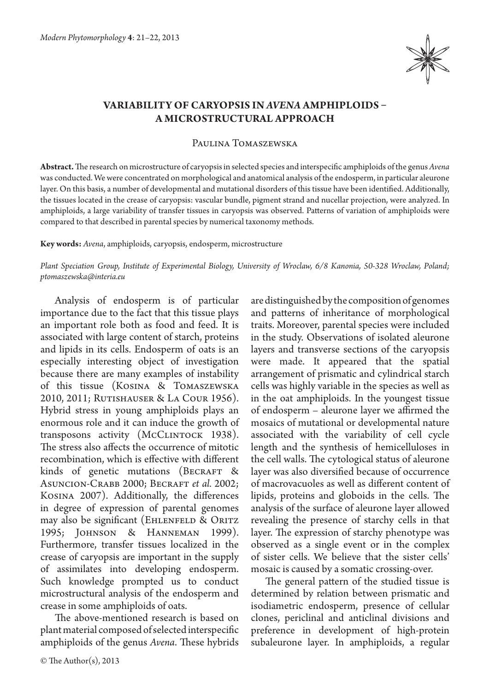

## **Variability of caryopsis in** *Avena* **amphiploids – a microstructural approach**

Paulina Tomaszewska

**Abstract.** The research on microstructure of caryopsis in selected species and interspecific amphiploids of the genus *Avena*  was conducted. We were concentrated on morphological and anatomical analysis of the endosperm, in particular aleurone layer. On this basis, a number of developmental and mutational disorders of this tissue have been identified. Additionally, the tissues located in the crease of caryopsis: vascular bundle, pigment strand and nucellar projection, were analyzed. In amphiploids, a large variability of transfer tissues in caryopsis was observed. Patterns of variation of amphiploids were compared to that described in parental species by numerical taxonomy methods.

## **Key words:** *Avena*, amphiploids, caryopsis, endosperm, microstructure

*Plant Speciation Group, Institute of Experimental Biology, University of Wroclaw, 6/8 Kanonia, 50-328 Wroclaw, Poland; ptomaszewska@interia.eu*

Analysis of endosperm is of particular importance due to the fact that this tissue plays an important role both as food and feed. It is associated with large content of starch, proteins and lipids in its cells. Endosperm of oats is an especially interesting object of investigation because there are many examples of instability of this tissue (Kosina & Tomaszewska 2010, 2011; Rutishauser & La Cour 1956). Hybrid stress in young amphiploids plays an enormous role and it can induce the growth of transposons activity (McCLINTOCK 1938). The stress also affects the occurrence of mitotic recombination, which is effective with different kinds of genetic mutations (BECRAFT & Asuncion-Crabb 2000; Becraft *et al.* 2002; Kosina 2007). Additionally, the differences in degree of expression of parental genomes may also be significant (EHLENFELD & ORITZ 1995; Johnson & Hanneman 1999). Furthermore, transfer tissues localized in the crease of caryopsis are important in the supply of assimilates into developing endosperm. Such knowledge prompted us to conduct microstructural analysis of the endosperm and crease in some amphiploids of oats.

The above-mentioned research is based on plant material composed of selected interspecific amphiploids of the genus *Avena*. These hybrids are distinguished by the composition of genomes and patterns of inheritance of morphological traits. Moreover, parental species were included in the study. Observations of isolated aleurone layers and transverse sections of the caryopsis were made. It appeared that the spatial arrangement of prismatic and cylindrical starch cells was highly variable in the species as well as in the oat amphiploids. In the youngest tissue of endosperm – aleurone layer we affirmed the mosaics of mutational or developmental nature associated with the variability of cell cycle length and the synthesis of hemicelluloses in the cell walls. The cytological status of aleurone layer was also diversified because of occurrence of macrovacuoles as well as different content of lipids, proteins and globoids in the cells. The analysis of the surface of aleurone layer allowed revealing the presence of starchy cells in that layer. The expression of starchy phenotype was observed as a single event or in the complex of sister cells. We believe that the sister cells' mosaic is caused by a somatic crossing-over.

The general pattern of the studied tissue is determined by relation between prismatic and isodiametric endosperm, presence of cellular clones, periclinal and anticlinal divisions and preference in development of high-protein subaleurone layer. In amphiploids, a regular